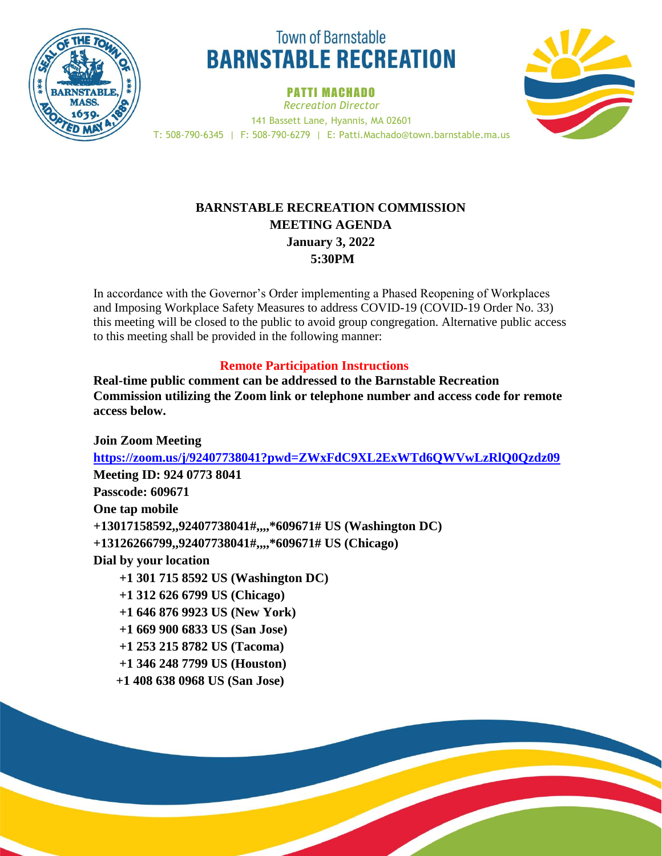

# **Town of Barnstable BARNSTABLE RECREATION**

PATTI MACHADO *Recreation Director* 141 Bassett Lane, Hyannis, MA 02601 T: 508-790-6345 | F: 508-790-6279 | E: Patti.Machado@town.barnstable.ma.us



## **BARNSTABLE RECREATION COMMISSION MEETING AGENDA January 3, 2022 5:30PM**

In accordance with the Governor's Order implementing a Phased Reopening of Workplaces and Imposing Workplace Safety Measures to address COVID-19 (COVID-19 Order No. 33) this meeting will be closed to the public to avoid group congregation. Alternative public access to this meeting shall be provided in the following manner:

### **Remote Participation Instructions**

**Real-time public comment can be addressed to the Barnstable Recreation Commission utilizing the Zoom link or telephone number and access code for remote access below.** 

**Join Zoom Meeting <https://zoom.us/j/92407738041?pwd=ZWxFdC9XL2ExWTd6QWVwLzRlQ0Qzdz09> Meeting ID: 924 0773 8041 Passcode: 609671 One tap mobile +13017158592,,92407738041#,,,,\*609671# US (Washington DC) +13126266799,,92407738041#,,,,\*609671# US (Chicago) Dial by your location +1 301 715 8592 US (Washington DC) +1 312 626 6799 US (Chicago) +1 646 876 9923 US (New York) +1 669 900 6833 US (San Jose) +1 253 215 8782 US (Tacoma) +1 346 248 7799 US (Houston)**

 **+1 408 638 0968 US (San Jose)**